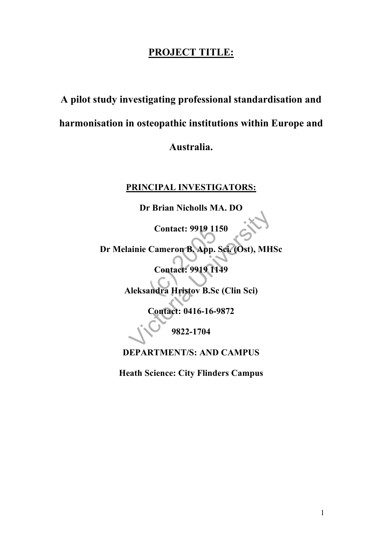## **PROJECT TITLE:**

# **A pilot study investigating professional standardisation and harmonisation in osteopathic institutions within Europe and**

## **Australia.**

## **PRINCIPAL INVESTIGATORS:**

**Dr Brian Nicholls MA. DO**

**Contact: 9919 1150**

Contact: 9919 11<br>Cameron B. App.<br>Contact: 9919 11<br>andra Hristov B. So Contact: 9919 1150<br>
ainie Cameron B. App. Sci. (Ost), MH<br>
Contact: 9919 1149<br>
leksandra Hristov B.Sc (Clin Sci)<br>
Contact: 0416-16-9872<br>
9822-1704 **Dr Melainie Cameron B. App. Sci. (Ost), MHSc**

**Contact: 9919 1149**

**Aleksandra Hristov B.Sc (Clin Sci)**

**Contact: 0416-16-9872**

**9822-1704**

**DEPARTMENT/S: AND CAMPUS**

**Heath Science: City Flinders Campus**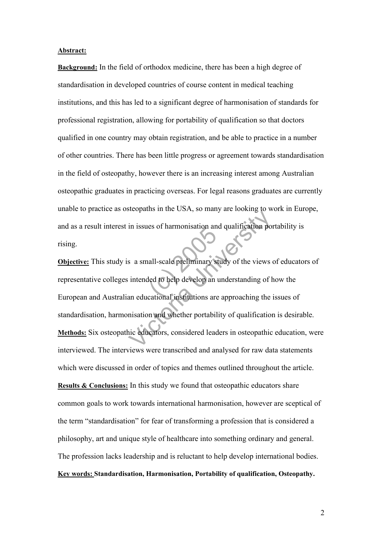#### **Abstract:**

**Background:** In the field of orthodox medicine, there has been a high degree of standardisation in developed countries of course content in medical teaching institutions, and this has led to a significant degree of harmonisation of standards for professional registration, allowing for portability of qualification so that doctors qualified in one country may obtain registration, and be able to practice in a number of other countries. There has been little progress or agreement towards standardisation in the field of osteopathy, however there is an increasing interest among Australian osteopathic graduates in practicing overseas. For legal reasons graduates are currently unable to practice as osteopaths in the USA, so many are looking to work in Europe, and as a result interest in issues of harmonisation and qualification portability is rising.

es of harmonisation and<br>all-scale preliminary s<br>led to help develop an<br>cational institutions are In issues of harmonisation and qualification por<br>in issues of harmonisation and qualification por<br>search and all scale preliminary study of the views of<br>intended to help develop an understanding of h<br>an educational institu **Objective:** This study is a small-scale preliminary study of the views of educators of representative colleges intended to help develop an understanding of how the European and Australian educational institutions are approaching the issues of standardisation, harmonisation and whether portability of qualification is desirable. **Methods:** Six osteopathic educators, considered leaders in osteopathic education, were interviewed. The interviews were transcribed and analysed for raw data statements which were discussed in order of topics and themes outlined throughout the article. **Results & Conclusions:** In this study we found that osteopathic educators share common goals to work towards international harmonisation, however are sceptical of the term "standardisation" for fear of transforming a profession that is considered a philosophy, art and unique style of healthcare into something ordinary and general. The profession lacks leadership and is reluctant to help develop international bodies. **Key words: Standardisation, Harmonisation, Portability of qualification, Osteopathy.**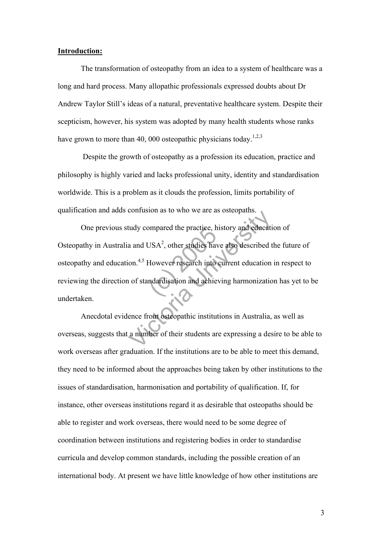#### **Introduction:**

The transformation of osteopathy from an idea to a system of healthcare was a long and hard process. Many allopathic professionals expressed doubts about Dr Andrew Taylor Still's ideas of a natural, preventative healthcare system. Despite their scepticism, however, his system was adopted by many health students whose ranks have grown to more than 40, 000 osteopathic physicians today.<sup>1,2,3</sup>

Despite the growth of osteopathy as a profession its education, practice and philosophy is highly varied and lacks professional unity, identity and standardisation worldwide. This is a problem as it clouds the profession, limits portability of qualification and adds confusion as to who we are as osteopaths.

ompared the practice, https://www.textudies.html<br>However research into<br>ndardisation and achie tudy compared the practice, history and education<br>a and USA<sup>2</sup>, other studies have also described to on.<sup>4,5</sup> However research into current education<br>of standardisation and achieving harmonization<br>ence from osteopathic ins One previous study compared the practice, history and education of Osteopathy in Australia and USA<sup>2</sup>, other studies have also described the future of osteopathy and education.<sup>4,5</sup> However research into current education in respect to reviewing the direction of standardisation and achieving harmonization has yet to be undertaken.

Anecdotal evidence from osteopathic institutions in Australia, as well as overseas, suggests that a number of their students are expressing a desire to be able to work overseas after graduation. If the institutions are to be able to meet this demand, they need to be informed about the approaches being taken by other institutions to the issues of standardisation, harmonisation and portability of qualification. If, for instance, other overseas institutions regard it as desirable that osteopaths should be able to register and work overseas, there would need to be some degree of coordination between institutions and registering bodies in order to standardise curricula and develop common standards, including the possible creation of an international body. At present we have little knowledge of how other institutions are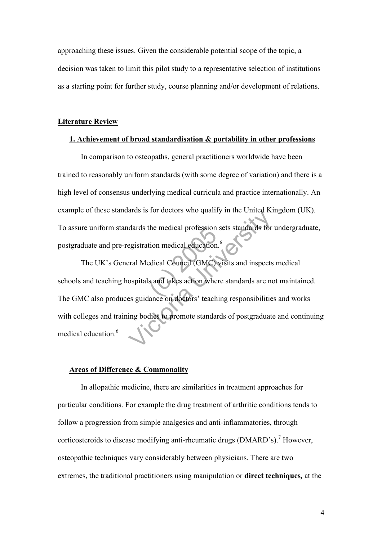approaching these issues. Given the considerable potential scope of the topic, a decision was taken to limit this pilot study to a representative selection of institutions as a starting point for further study, course planning and/or development of relations.

#### **Literature Review**

#### **1. Achievement of broad standardisation & portability in other professions**

 In comparison to osteopaths, general practitioners worldwide have been trained to reasonably uniform standards (with some degree of variation) and there is a high level of consensus underlying medical curricula and practice internationally. An example of these standards is for doctors who qualify in the United Kingdom (UK). To assure uniform standards the medical profession sets standards for undergraduate, postgraduate and pre-registration medical education.<sup>6</sup>

the medical protession<br>tion medical education<br>edical Council (GMC)<br>s and takes action whe dards the medical profession sets standards for<br>dards the medical profession sets standards for<br>egistration medical education.<sup>6</sup><br>Final Medical Council (GMC) visits and inspects<br>ospitals and takes action where standards ar The UK's General Medical Council (GMC) visits and inspects medical schools and teaching hospitals and takes action where standards are not maintained. The GMC also produces guidance on doctors' teaching responsibilities and works with colleges and training bodies to promote standards of postgraduate and continuing medical education.<sup>6</sup>

#### **Areas of Difference & Commonality**

In allopathic medicine, there are similarities in treatment approaches for particular conditions. For example the drug treatment of arthritic conditions tends to follow a progression from simple analgesics and anti-inflammatories, through corticosteroids to disease modifying anti-rheumatic drugs (DMARD's).<sup>7</sup> However, osteopathic techniques vary considerably between physicians. There are two extremes, the traditional practitioners using manipulation or **direct techniques***,* at the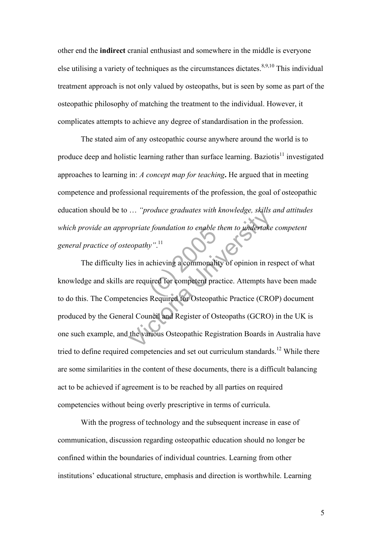other end the **indirect** cranial enthusiast and somewhere in the middle is everyone else utilising a variety of techniques as the circumstances dictates.<sup>8,9,10</sup> This individual treatment approach is not only valued by osteopaths, but is seen by some as part of the osteopathic philosophy of matching the treatment to the individual. However, it complicates attempts to achieve any degree of standardisation in the profession.

The stated aim of any osteopathic course anywhere around the world is to produce deep and holistic learning rather than surface learning. Baziotis<sup>11</sup> investigated approaches to learning in: *A concept map for teaching***.** He argued that in meeting competence and professional requirements of the profession, the goal of osteopathic education should be to … *"produce graduates with knowledge, skills and attitudes which provide an appropriate foundation to enable them to undertake competent general practice of osteopathy"*. 11

e foundation to enable<br>
by".<sup>11</sup><br>
achieving a commonali<br>
uired for competent pra The produce graduates with knowledge, skills approach of the properties in achieving a commonality of opinion in re<br>reparative in achieving a commonality of opinion in re<br>reparative for competent practice. Attempts have en The difficulty lies in achieving a commonality of opinion in respect of what knowledge and skills are required for competent practice. Attempts have been made to do this. The Competencies Required for Osteopathic Practice (CROP) document produced by the General Council and Register of Osteopaths (GCRO) in the UK is one such example, and the various Osteopathic Registration Boards in Australia have tried to define required competencies and set out curriculum standards.<sup>12</sup> While there are some similarities in the content of these documents, there is a difficult balancing act to be achieved if agreement is to be reached by all parties on required competencies without being overly prescriptive in terms of curricula.

With the progress of technology and the subsequent increase in ease of communication, discussion regarding osteopathic education should no longer be confined within the boundaries of individual countries. Learning from other institutions' educational structure, emphasis and direction is worthwhile. Learning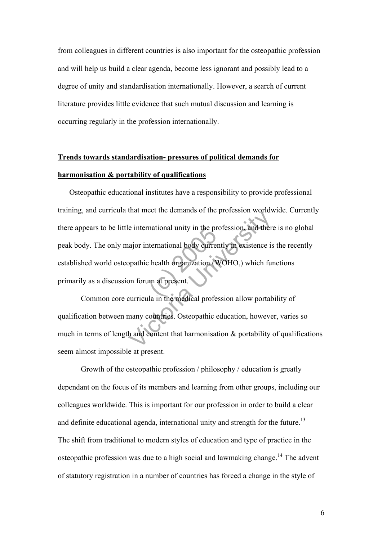from colleagues in different countries is also important for the osteopathic profession and will help us build a clear agenda, become less ignorant and possibly lead to a degree of unity and standardisation internationally. However, a search of current literature provides little evidence that such mutual discussion and learning is occurring regularly in the profession internationally.

## **Trends towards standardisation- pressures of political demands for harmonisation & portability of qualifications**

mational unity in the pr<br>
ternational body currer<br>
chealth organization<br>
un at present.<br>
la in the medical profe The international unity in the profession worlds<br>
international unity in the profession, and there<br>
ajor international body currently in existence is<br>
ppathic health organization (WOHO,) which fun<br>
on forum at present.<br>
cu Osteopathic educational institutes have a responsibility to provide professional training, and curricula that meet the demands of the profession worldwide. Currently there appears to be little international unity in the profession, and there is no global peak body. The only major international body currently in existence is the recently established world osteopathic health organization (WOHO,) which functions primarily as a discussion forum at present.

Common core curricula in the medical profession allow portability of qualification between many countries. Osteopathic education, however, varies so much in terms of length and content that harmonisation  $\&$  portability of qualifications seem almost impossible at present.

Growth of the osteopathic profession / philosophy / education is greatly dependant on the focus of its members and learning from other groups, including our colleagues worldwide. This is important for our profession in order to build a clear and definite educational agenda, international unity and strength for the future.<sup>13</sup> The shift from traditional to modern styles of education and type of practice in the osteopathic profession was due to a high social and lawmaking change.<sup>14</sup> The advent of statutory registration in a number of countries has forced a change in the style of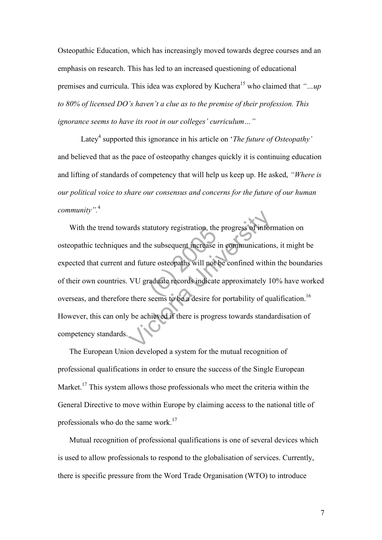Osteopathic Education, which has increasingly moved towards degree courses and an emphasis on research. This has led to an increased questioning of educational premises and curricula. This idea was explored by Kuchera 15 who claimed that *"…up to 80% of licensed DO's haven't a clue as to the premise of their profession. This ignorance seems to have its root in our colleges' curriculum…"*

Latey<sup>4</sup> supported this ignorance in his article on '*The future of Osteopathy'* and believed that as the pace of osteopathy changes quickly it is continuing education and lifting of standards of competency that will help us keep up. He asked, *"Where is our political voice to share our consensus and concerns for the future of our human community".* 4

atutory registration, the<br>he subsequent increase<br>are osteopaths will not<br>raduate records indicate<br>seems to be a desire fo ards statutory registration, the progress of inform<br>and the subsequent increase in communication<br>ind future osteopaths will not be confined within<br>VU graduate records indicate approximately 10<br>there seems to be a desire fo With the trend towards statutory registration, the progress of information on osteopathic techniques and the subsequent increase in communications, it might be expected that current and future osteopaths will not be confined within the boundaries of their own countries. VU graduate records indicate approximately 10% have worked overseas, and therefore there seems to be a desire for portability of qualification.<sup>16</sup> However, this can only be achieved if there is progress towards standardisation of competency standards.

The European Union developed a system for the mutual recognition of professional qualifications in order to ensure the success of the Single European Market.<sup>17</sup> This system allows those professionals who meet the criteria within the General Directive to move within Europe by claiming access to the national title of professionals who do the same work.17

Mutual recognition of professional qualifications is one of several devices which is used to allow professionals to respond to the globalisation of services. Currently, there is specific pressure from the Word Trade Organisation (WTO) to introduce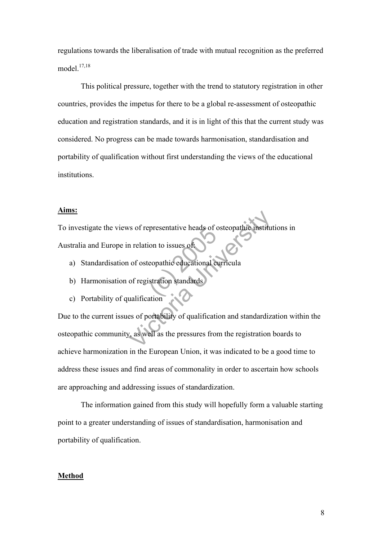regulations towards the liberalisation of trade with mutual recognition as the preferred model. 17,18

This political pressure, together with the trend to statutory registration in other countries, provides the impetus for there to be a global re-assessment of osteopathic education and registration standards, and it is in light of this that the current study was considered. No progress can be made towards harmonisation, standardisation and portability of qualification without first understanding the views of the educational institutions.

#### **Aims:**

Expresentative heads of contained a contact the equational contact that the standards of the standards of the standards of the standards of the standards of the standards of the standards of the standards of the standards To investigate the views of representative heads of osteopathic institutions in Australia and Europe in relation to issues of:

- a) Standardisation of osteopathic educational curricula
- b) Harmonisation of registration standards
- c) Portability of qualification

vs of representative heads of osteopathic institute<br>
in relation to issues of<br>
intervalses of<br>
intervalses of<br>
intervalses of registration<br>
standards<br>
intervalses of portability of qualification and standardize<br>
version th Due to the current issues of portability of qualification and standardization within the osteopathic community, as well as the pressures from the registration boards to achieve harmonization in the European Union, it was indicated to be a good time to address these issues and find areas of commonality in order to ascertain how schools are approaching and addressing issues of standardization.

The information gained from this study will hopefully form a valuable starting point to a greater understanding of issues of standardisation, harmonisation and portability of qualification.

#### **Method**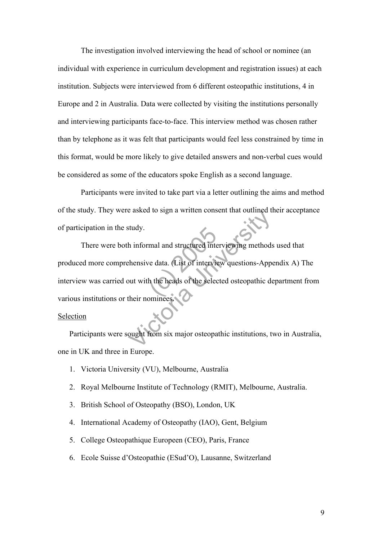The investigation involved interviewing the head of school or nominee (an individual with experience in curriculum development and registration issues) at each institution. Subjects were interviewed from 6 different osteopathic institutions, 4 in Europe and 2 in Australia. Data were collected by visiting the institutions personally and interviewing participants face-to-face. This interview method was chosen rather than by telephone as it was felt that participants would feel less constrained by time in this format, would be more likely to give detailed answers and non-verbal cues would be considered as some of the educators spoke English as a second language.

Participants were invited to take part via a letter outlining the aims and method of the study. They were asked to sign a written consent that outlined their acceptance of participation in the study.

mal and structured interview<br>ve data. (List of interview)<br>h the heads of the selection Exercise of Sign a written consent that outlined in<br>titudy.<br>
A informal and structured interviewing methods<br>
thensive data. (List of interview questions-Appe<br>
out with the heads of the selected osteopathic de<br>
their nomine There were both informal and structured interviewing methods used that produced more comprehensive data. (List of interview questions-Appendix A) The interview was carried out with the heads of the selected osteopathic department from various institutions or their nominees.

#### Selection

Participants were sought from six major osteopathic institutions, two in Australia, one in UK and three in Europe.

- 1. Victoria University (VU), Melbourne, Australia
- 2. Royal Melbourne Institute of Technology (RMIT), Melbourne, Australia.
- 3. British School of Osteopathy (BSO), London, UK
- 4. International Academy of Osteopathy (IAO), Gent, Belgium
- 5. College Osteopathique Europeen (CEO), Paris, France
- 6. Ecole Suisse d'Osteopathie (ESud'O), Lausanne, Switzerland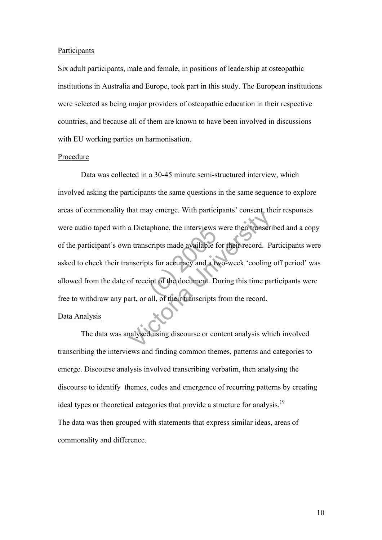#### **Participants**

Six adult participants, male and female, in positions of leadership at osteopathic institutions in Australia and Europe, took part in this study. The European institutions were selected as being major providers of osteopathic education in their respective countries, and because all of them are known to have been involved in discussions with EU working parties on harmonisation.

#### Procedure

aphone, the interviews<br>
cripts made available f<br>
ts for accuracy and a twipt of the document. D<br>
all of their transcripts The materials consent, the anti-<br>
a Dictaphone, the interviews were then transerion<br>
in transcripts made available for their record. Parameterity<br>
is the material of the document. During this time parameter,<br>
and the docum Data was collected in a 30-45 minute semi-structured interview, which involved asking the participants the same questions in the same sequence to explore areas of commonality that may emerge. With participants' consent, their responses were audio taped with a Dictaphone, the interviews were then transcribed and a copy of the participant's own transcripts made available for their record. Participants were asked to check their transcripts for accuracy and a two-week 'cooling off period' was allowed from the date of receipt of the document. During this time participants were free to withdraw any part, or all, of their transcripts from the record.

#### Data Analysis

The data was analysed using discourse or content analysis which involved transcribing the interviews and finding common themes, patterns and categories to emerge. Discourse analysis involved transcribing verbatim, then analysing the discourse to identify themes, codes and emergence of recurring patterns by creating ideal types or theoretical categories that provide a structure for analysis.<sup>19</sup> The data was then grouped with statements that express similar ideas, areas of commonality and difference.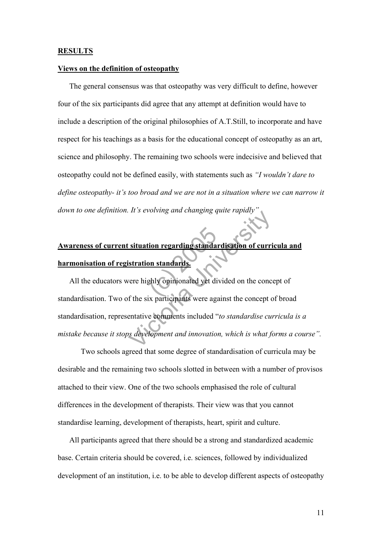#### **RESULTS**

#### **Views on the definition of osteopathy**

The general consensus was that osteopathy was very difficult to define, however four of the six participants did agree that any attempt at definition would have to include a description of the original philosophies of A.T.Still, to incorporate and have respect for his teachings as a basis for the educational concept of osteopathy as an art, science and philosophy. The remaining two schools were indecisive and believed that osteopathy could not be defined easily, with statements such as *"I wouldn't dare to define osteopathy- it's too broad and we are not in a situation where we can narrow it* down to one definition. It's evolving and changing quite rapidly

# tion regarding standa<br>
on standards.<br>
ghly opinionated yet di<br>
ix participants were ago **Awareness of current situation regarding standardisation of curricula and harmonisation of registration standards.**

It is evolving and changing quite rapidly<br>
Situation regarding standardisation of curri<br>
Situation standards<br>
Vere highly opinionated yet divided on the concept<br>
or the six participants were against the concept of<br>
entativ All the educators were highly opinionated yet divided on the concept of standardisation. Two of the six participants were against the concept of broad standardisation, representative comments included "*to standardise curricula is a mistake because it stops development and innovation, which is what forms a course".* 

Two schools agreed that some degree of standardisation of curricula may be desirable and the remaining two schools slotted in between with a number of provisos attached to their view. One of the two schools emphasised the role of cultural differences in the development of therapists. Their view was that you cannot standardise learning, development of therapists, heart, spirit and culture.

All participants agreed that there should be a strong and standardized academic base. Certain criteria should be covered, i.e. sciences, followed by individualized development of an institution, i.e. to be able to develop different aspects of osteopathy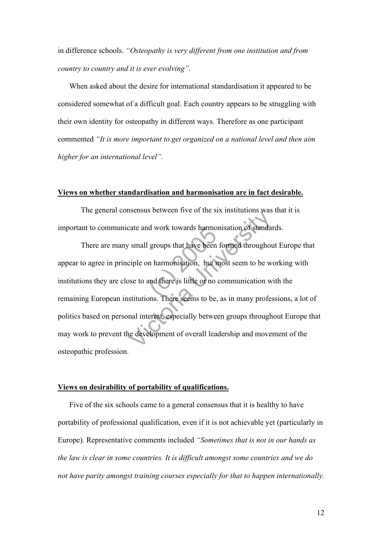in difference schools. *"Osteopathy is very different from one institution and from country to country and it is ever evolving".*

When asked about the desire for international standardisation it appeared to be considered somewhat of a difficult goal. Each country appears to be struggling with their own identity for osteopathy in different ways. Therefore as one participant commented *"It is more important to get organized on a national level and then aim higher for an international level".*

#### **Views on whether standardisation and harmonisation are in fact desirable.**

The general consensus between five of the six institutions was that it is important to communicate and work towards harmonisation of standards.

Example 18 armords have<br>groups that have been<br>n harmonisation, but r<br>and there is little or no<br>nns. There seems to be SETIST DEVIDENT THE STATE INTERNATIONS WAS<br>Cate and work towards harmonisation of standar<br>Secure 1 small groups that have been formed throughour<br>ciple on harmonisation, but most seem to be we<br>see to and there is little or There are many small groups that have been formed throughout Europe that appear to agree in principle on harmonisation, but most seem to be working with institutions they are close to and there is little or no communication with the remaining European institutions. There seems to be, as in many professions, a lot of politics based on personal interest, especially between groups throughout Europe that may work to prevent the development of overall leadership and movement of the osteopathic profession.

#### **Views on desirability of portability of qualifications.**

Five of the six schools came to a general consensus that it is healthy to have portability of professional qualification, even if it is not achievable yet (particularly in Europe). Representative comments included *"Sometimes that is not in our hands as the law is clear in some countries. It is difficult amongst some countries and we do not have parity amongst training courses especially for that to happen internationally.*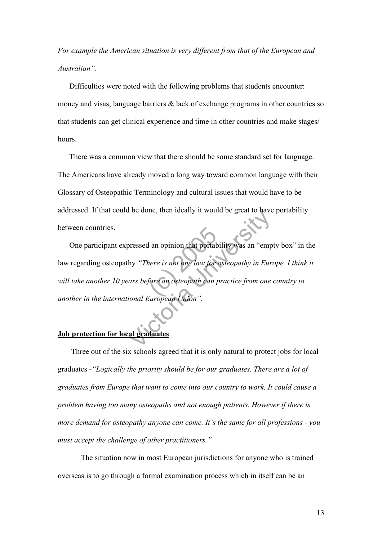*For example the American situation is very different from that of the European and Australian".*

Difficulties were noted with the following problems that students encounter: money and visas, language barriers & lack of exchange programs in other countries so that students can get clinical experience and time in other countries and make stages/ hours.

There was a common view that there should be some standard set for language. The Americans have already moved a long way toward common language with their Glossary of Osteopathic Terminology and cultural issues that would have to be addressed. If that could be done, then ideally it would be great to have portability between countries.

(d) that portal<br>there is not one law for<br>fore an osteopath can<br>the control of the canal France and opinion that portability was an "empty"<br>There is not one law for osteopathy in Euro<br>ars before an osteopath can practice from one ional European Union".<br>al graduates One participant expressed an opinion that portability was an "empty box" in the law regarding osteopathy *"There is not one law for osteopathy in Europe. I think it will take another 10 years before an osteopath can practice from one country to another in the international European Union".* 

### **Job protection for local graduates**

 Three out of the six schools agreed that it is only natural to protect jobs for local graduates -*"Logically the priority should be for our graduates. There are a lot of graduates from Europe that want to come into our country to work. It could cause a problem having too many osteopaths and not enough patients. However if there is more demand for osteopathy anyone can come. It's the same for all professions - you must accept the challenge of other practitioners."*

The situation now in most European jurisdictions for anyone who is trained overseas is to go through a formal examination process which in itself can be an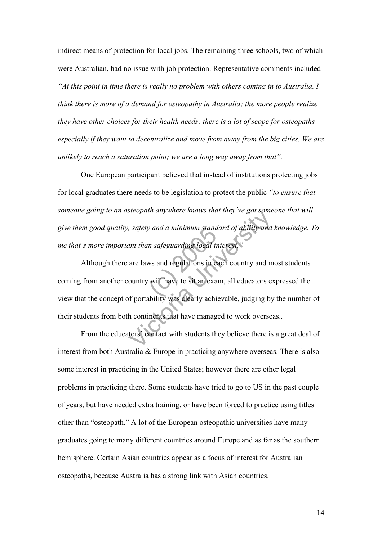indirect means of protection for local jobs. The remaining three schools, two of which were Australian, had no issue with job protection. Representative comments included *"At this point in time there is really no problem with others coming in to Australia. I think there is more of a demand for osteopathy in Australia; the more people realize they have other choices for their health needs; there is a lot of scope for osteopaths especially if they want to decentralize and move from away from the big cities. We are unlikely to reach a saturation point; we are a long way away from that".*

One European participant believed that instead of institutions protecting jobs for local graduates there needs to be legislation to protect the public *"to ensure that someone going to an osteopath anywhere knows that they've got someone that will give them good quality, safety and a minimum standard of ability and knowledge. To me that's more important than safeguarding local interest."*

*w and a minimum stand*<br>in safeguarding local in<br>ws and regulations in exa<br>will have to sit an exa<br>ability was clearly achi Support anywhere knows that they ve got some<br>
support and a minimum standard of ability and<br>
ant than safeguarding local interest."<br>
are laws and regulations in each country and m<br>
ountry will have to sit an exam, all educ Although there are laws and regulations in each country and most students coming from another country will have to sit an exam, all educators expressed the view that the concept of portability was clearly achievable, judging by the number of their students from both continents that have managed to work overseas..

From the educators' contact with students they believe there is a great deal of interest from both Australia & Europe in practicing anywhere overseas. There is also some interest in practicing in the United States; however there are other legal problems in practicing there. Some students have tried to go to US in the past couple of years, but have needed extra training, or have been forced to practice using titles other than "osteopath." A lot of the European osteopathic universities have many graduates going to many different countries around Europe and as far as the southern hemisphere. Certain Asian countries appear as a focus of interest for Australian osteopaths, because Australia has a strong link with Asian countries.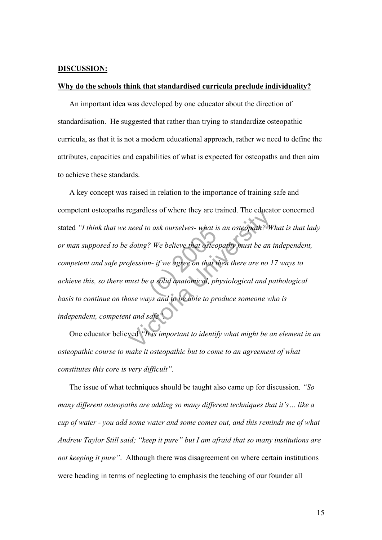#### **DISCUSSION:**

#### **Why do the schools think that standardised curricula preclude individuality?**

An important idea was developed by one educator about the direction of standardisation. He suggested that rather than trying to standardize osteopathic curricula, as that it is not a modern educational approach, rather we need to define the attributes, capacities and capabilities of what is expected for osteopaths and then aim to achieve these standards.

o ask ourselves- what i.<br>2 We believe that osteo<br>n- if we agree on that t<br>2 a solid anatomical, ph<br>ws and to be able to pr read to ask ourselves- what is an osteopath? W<br>need to ask ourselves- what is an osteopath? W<br>doing? We believe that osteopathy must be an a<br>of fession- if we agree on that then there are no 1<br>nust be a solid anatomical, p A key concept was raised in relation to the importance of training safe and competent osteopaths regardless of where they are trained. The educator concerned stated *"I think that we need to ask ourselves- what is an osteopath? What is that lady or man supposed to be doing? We believe that osteopathy must be an independent, competent and safe profession- if we agree on that then there are no 17 ways to achieve this, so there must be a solid anatomical, physiological and pathological basis to continue on those ways and to be able to produce someone who is independent, competent and safe".*

One educator believed *"It is important to identify what might be an element in an osteopathic course to make it osteopathic but to come to an agreement of what constitutes this core is very difficult".*

The issue of what techniques should be taught also came up for discussion. *"So many different osteopaths are adding so many different techniques that it's… like a cup of water - you add some water and some comes out, and this reminds me of what Andrew Taylor Still said; "keep it pure" but I am afraid that so many institutions are not keeping it pure"*. Although there was disagreement on where certain institutions were heading in terms of neglecting to emphasis the teaching of our founder all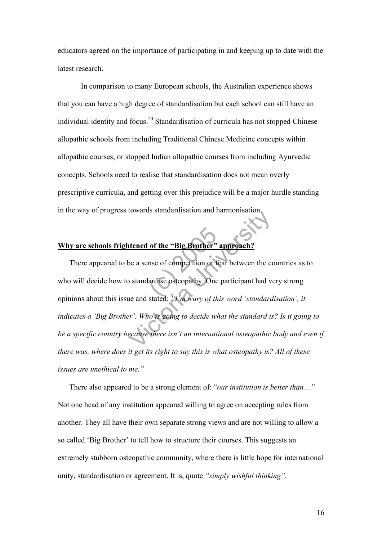educators agreed on the importance of participating in and keeping up to date with the latest research.

In comparison to many European schools, the Australian experience shows that you can have a high degree of standardisation but each school can still have an individual identity and focus. 20 Standardisation of curricula has not stopped Chinese allopathic schools from including Traditional Chinese Medicine concepts within allopathic courses, or stopped Indian allopathic courses from including Ayurvedic concepts. Schools need to realise that standardisation does not mean overly prescriptive curricula, and getting over this prejudice will be a major hurdle standing in the way of progress towards standardisation and harmonisation.

### **Why are schools frightened of the "Big Brother" approach?**

Why are schools frightened of the "Big Brother" approach?<br>There appeared to be a sense of competition or fear between the countries as<br>who will decide how to standardise osteopathy. One participant had very strong<br>opinions Internet of the "Big Brother" approach?<br>
De a sense of competition or fear between the correct and standardise osteopathy. One participant had vertical and stated: "I'm wary of this word 'standard is eccure there isn't an There appeared to be a sense of competition or fear between the countries as to who will decide how to standardise osteopathy. One participant had very strong *indicates a 'Big Brother'. Who is going to decide what the standard is? Is it going to be a specific country because there isn't an international osteopathic body and even if there was, where does it get its right to say this is what osteopathy is? All of these issues are unethical to me."*

There also appeared to be a strong element of: "*our institution is better than…"* Not one head of any institution appeared willing to agree on accepting rules from another. They all have their own separate strong views and are not willing to allow a so called 'Big Brother' to tell how to structure their courses. This suggests an extremely stubborn osteopathic community, where there is little hope for international unity, standardisation or agreement. It is, quote *"simply wishful thinking".*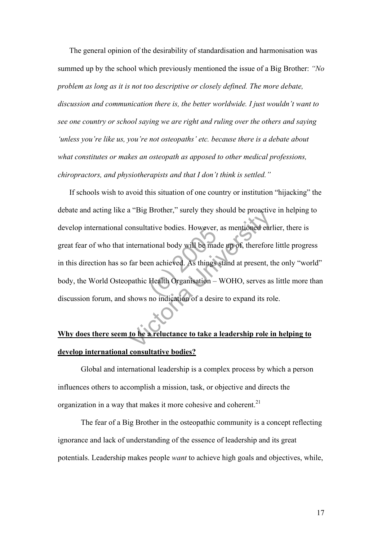The general opinion of the desirability of standardisation and harmonisation was summed up by the school which previously mentioned the issue of a Big Brother: *"No problem as long as it is not too descriptive or closely defined. The more debate, discussion and communication there is, the better worldwide. I just wouldn't want to see one country or school saying we are right and ruling over the others and saying 'unless you're like us, you're not osteopaths' etc. because there is a debate about what constitutes or makes an osteopath as apposed to other medical professions, chiropractors, and physiotherapists and that I don't think is settled."*

ative bodies. However,<br>tional body will be made<br>en achieved. As things<br>Health Organisation –<br>no indication of a desi a Big Biother, surely they should be proach on<br>solutative bodies. However, as mentioned early<br>international body will be made up of, therefore<br>far been achieved. As things stand at present, the<br>pathic Health Organisation – If schools wish to avoid this situation of one country or institution "hijacking" the debate and acting like a "Big Brother," surely they should be proactive in helping to develop international consultative bodies. However, as mentioned earlier, there is great fear of who that international body will be made up of, therefore little progress in this direction has so far been achieved. As things stand at present, the only "world" body, the World Osteopathic Health Organisation – WOHO, serves as little more than discussion forum, and shows no indication of a desire to expand its role.

## **Why does there seem to be a reluctance to take a leadership role in helping to develop international consultative bodies?**

Global and international leadership is a complex process by which a person influences others to accomplish a mission, task, or objective and directs the organization in a way that makes it more cohesive and coherent.<sup>21</sup>

The fear of a Big Brother in the osteopathic community is a concept reflecting ignorance and lack of understanding of the essence of leadership and its great potentials. Leadership makes people *want* to achieve high goals and objectives, while,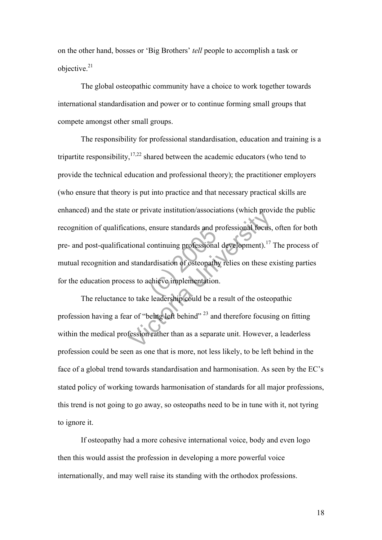on the other hand, bosses or 'Big Brothers' *tell* people to accomplish a task or objective. 21

The global osteopathic community have a choice to work together towards international standardisation and power or to continue forming small groups that compete amongst other small groups.

ensure standards and professional<br>continuing professional<br>ardisation of osteopath<br>chieve implementation<br>experience in could be a For private institution associations (which provident).<sup>17</sup><br>I standardisation of osteopathy relies on these expansion of osteopathy relies on these expansion to take leadership could be a result of the osteopathy relies on The responsibility for professional standardisation, education and training is a tripartite responsibility,  $17,22$  shared between the academic educators (who tend to provide the technical education and professional theory); the practitioner employers (who ensure that theory is put into practice and that necessary practical skills are enhanced) and the state or private institution/associations (which provide the public recognition of qualifications, ensure standards and professional focus, often for both pre- and post-qualificational continuing professional development).<sup>17</sup> The process of mutual recognition and standardisation of osteopathy relies on these existing parties for the education process to achieve implementation.

The reluctance to take leadership could be a result of the osteopathic profession having a fear of "being left behind" <sup>23</sup> and therefore focusing on fitting within the medical profession rather than as a separate unit. However, a leaderless profession could be seen as one that is more, not less likely, to be left behind in the face of a global trend towards standardisation and harmonisation. As seen by the EC's stated policy of working towards harmonisation of standards for all major professions, this trend is not going to go away, so osteopaths need to be in tune with it, not tyring to ignore it.

If osteopathy had a more cohesive international voice, body and even logo then this would assist the profession in developing a more powerful voice internationally, and may well raise its standing with the orthodox professions.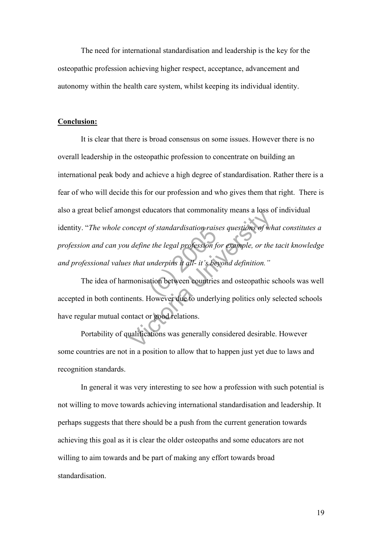The need for international standardisation and leadership is the key for the osteopathic profession achieving higher respect, acceptance, advancement and autonomy within the health care system, whilst keeping its individual identity.

#### **Conclusion:**

*of standardisation raise<br>the legal profession for the legal profession for all-it's belongeries*<br>ation between countries<br>However due to underly Superior of *standardisation raises questions of what define the legal profession for example, or the s that underpins it all- it's beyond definition."*<br>
monisation between eountries and osteopathic senses. However due t It is clear that there is broad consensus on some issues. However there is no overall leadership in the osteopathic profession to concentrate on building an international peak body and achieve a high degree of standardisation. Rather there is a fear of who will decide this for our profession and who gives them that right. There is also a great belief amongst educators that commonality means a loss of individual identity. "*The whole concept of standardisation raises questions of what constitutes a profession and can you define the legal profession for example, or the tacit knowledge and professional values that underpins it all- it's beyond definition."*

The idea of harmonisation between countries and osteopathic schools was well accepted in both continents. However due to underlying politics only selected schools have regular mutual contact or good relations.

Portability of qualifications was generally considered desirable. However some countries are not in a position to allow that to happen just yet due to laws and recognition standards.

In general it was very interesting to see how a profession with such potential is not willing to move towards achieving international standardisation and leadership. It perhaps suggests that there should be a push from the current generation towards achieving this goal as it is clear the older osteopaths and some educators are not willing to aim towards and be part of making any effort towards broad standardisation.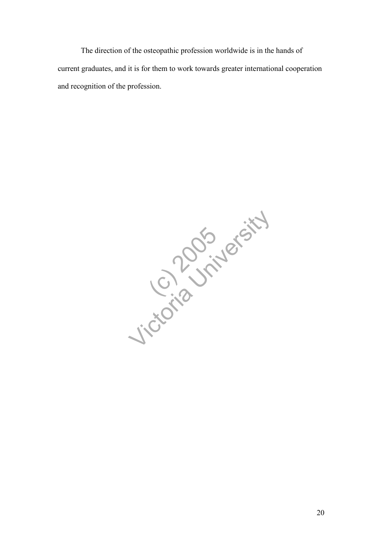The direction of the osteopathic profession worldwide is in the hands of current graduates, and it is for them to work towards greater international cooperation and recognition of the profession.

C. 2005 Jicordia University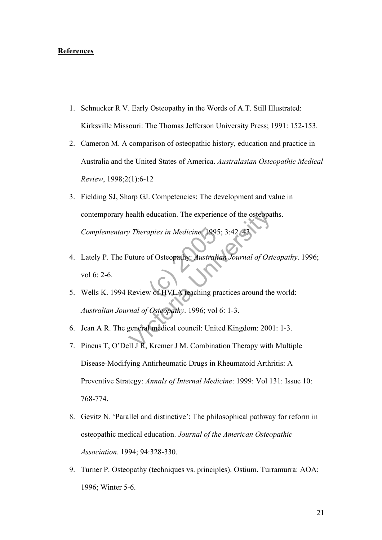#### **References**

 $\overline{a}$ 

- 1. Schnucker R V. Early Osteopathy in the Words of A.T. Still Illustrated: Kirksville Missouri: The Thomas Jefferson University Press; 1991: 152-153.
- 2. Cameron M. A comparison of osteopathic history, education and practice in Australia and the United States of America. *Australasian Osteopathic Medical Review*, 1998;2(1):6-12
- ealth education. The experience of the osteopate<br>
V Therapies in Medicine. 1995; 3:42, 43.<br>
University: Australian Journal of Osteopathy: Australian Journal of Osteopathy<br>
Review of HVLA teaching practices around the<br>
The 3. Fielding SJ, Sharp GJ. Competencies: The development and value in contemporary health education. The experience of the osteopaths.
- Complementary Therapies in Medicine. 1995; 3:42, 43.<br>
Lately P. The Future of Osteopathy: Australian Journal<br>
vol 6: 2-6.<br>
Wells K. 1994 Review of HVLA teaching practices aro 4. Lately P. The Future of Osteopathy: *Australian Journal of Osteopathy*. 1996; vol 6: 2-6.
- 5. Wells K. 1994 Review of HVLA teaching practices around the world: *Australian Journal of Osteopathy*. 1996; vol 6: 1-3.
- 6. Jean A R. The general medical council: United Kingdom: 2001: 1-3.
- 7. Pincus T, O'Dell J R, Kremer J M. Combination Therapy with Multiple Disease-Modifying Antirheumatic Drugs in Rheumatoid Arthritis: A Preventive Strategy: *Annals of Internal Medicine*: 1999: Vol 131: Issue 10: 768-774.
- 8. Gevitz N. 'Parallel and distinctive': The philosophical pathway for reform in osteopathic medical education. *Journal of the American Osteopathic Association*. 1994; 94:328-330.
- 9. Turner P. Osteopathy (techniques vs. principles). Ostium. Turramurra: AOA; 1996; Winter 5-6.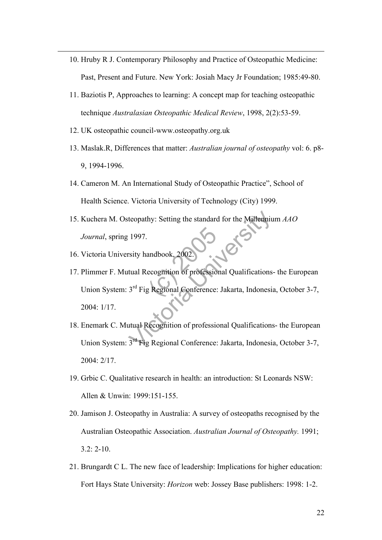- 10. Hruby R J. Contemporary Philosophy and Practice of Osteopathic Medicine: Past, Present and Future. New York: Josiah Macy Jr Foundation; 1985:49-80.
- 11. Baziotis P, Approaches to learning: A concept map for teaching osteopathic technique *Australasian Osteopathic Medical Review*, 1998, 2(2):53-59.
- 12. UK osteopathic council-www.osteopathy.org.uk

 $\overline{a}$ 

- 13. Maslak.R, Differences that matter: *Australian journal of osteopathy* vol: 6. p8- 9, 1994-1996.
- 14. Cameron M. An International Study of Osteopathic Practice", School of Health Science. Victoria University of Technology (City) 1999.
- 15. Kuchera M. Osteopathy: Setting the standard for the Millennium *AAO Journal*, spring 1997.
- 16. Victoria University handbook, 2002.
- andbook, 2002. teopathy: Setting the standard for the Millenniu<br>1997.<br>
Sity handbook, 2002.<br>
University handbook, 2002.<br>
University and Conference: Jakarta, Indonesia<br>
2<sup>rd</sup> Fig Regional Conference: Jakarta, Indonesia<br>
3<sup>rd</sup> Fig Regional 17. Plimmer F. Mutual Recognition of professional Qualifications- the European Union System: 3<sup>rd</sup> Fig Regional Conference: Jakarta, Indonesia, October 3-7, 2004: 1/17.
- 18. Enemark C. Mutual Recognition of professional Qualifications- the European Union System: 3rd Fig Regional Conference: Jakarta, Indonesia, October 3-7, 2004: 2/17.
- 19. Grbic C. Qualitative research in health: an introduction: St Leonards NSW: Allen & Unwin: 1999:151-155.
- 20. Jamison J. Osteopathy in Australia: A survey of osteopaths recognised by the Australian Osteopathic Association. *Australian Journal of Osteopathy.* 1991; 3.2: 2-10.
- 21. Brungardt C L. The new face of leadership: Implications for higher education: Fort Hays State University: *Horizon* web: Jossey Base publishers: 1998: 1-2.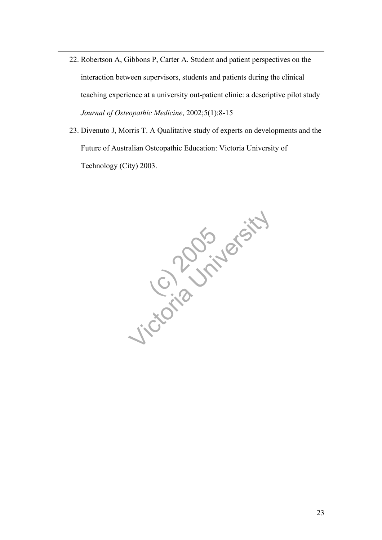22. Robertson A, Gibbons P, Carter A. Student and patient perspectives on the interaction between supervisors, students and patients during the clinical teaching experience at a university out-patient clinic: a descriptive pilot study *Journal of Osteopathic Medicine*, 2002;5(1):8-15

 $\overline{a}$ 

23. Divenuto J, Morris T. A Qualitative study of experts on developments and the Future of Australian Osteopathic Education: Victoria University of Technology (City) 2003.

C. 2005 Jicordia University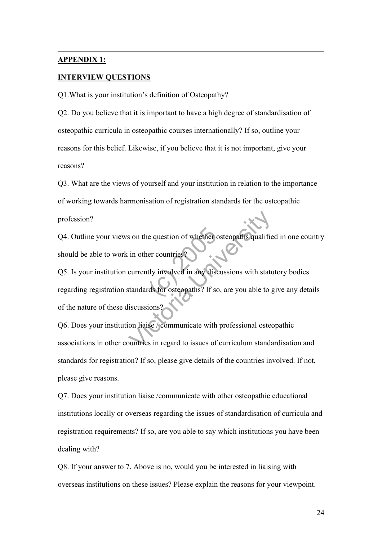#### **APPENDIX 1:**

 $\overline{a}$ 

#### **INTERVIEW QUESTIONS**

Q1.What is your institution's definition of Osteopathy?

Q2. Do you believe that it is important to have a high degree of standardisation of osteopathic curricula in osteopathic courses internationally? If so, outline your reasons for this belief. Likewise, if you believe that it is not important, give your reasons?

Q3. What are the views of yourself and your institution in relation to the importance of working towards harmonisation of registration standards for the osteopathic profession?

Q4. Outline your views on the question of whether osteopaths qualified in one country should be able to work in other countries?

e question of whether<br>
er countries?<br>
tly involved in any dise<br>
ds for osteopaths? If so Solar the question of whether osteopaths qualifies in other countries?<br>
Currently involved in any discussions with status tandards for osteopaths? If so, are you able to g<br>
iscussions?<br>
Solar tandards to communicate with p Q5. Is your institution currently involved in any discussions with statutory bodies regarding registration standards for osteopaths? If so, are you able to give any details of the nature of these discussions?

Q6. Does your institution liaise / communicate with professional osteopathic associations in other countries in regard to issues of curriculum standardisation and standards for registration? If so, please give details of the countries involved. If not, please give reasons.

Q7. Does your institution liaise /communicate with other osteopathic educational institutions locally or overseas regarding the issues of standardisation of curricula and registration requirements? If so, are you able to say which institutions you have been dealing with?

Q8. If your answer to 7. Above is no, would you be interested in liaising with overseas institutions on these issues? Please explain the reasons for your viewpoint.